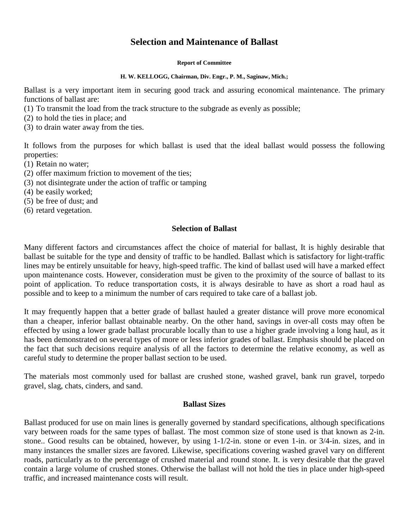# **Selection and Maintenance of Ballast**

**Report of Committee**

#### **H. W. KELLOGG, Chairman, Div. Engr., P. M., Saginaw, Mich.;**

Ballast is a very important item in securing good track and assuring economical maintenance. The primary functions of ballast are:

- (1) To transmit the load from the track structure to the subgrade as evenly as possible;
- (2) to hold the ties in place; and
- (3) to drain water away from the ties.

It follows from the purposes for which ballast is used that the ideal ballast would possess the following properties:

- (1) Retain no water;
- (2) offer maximum friction to movement of the ties;
- (3) not disintegrate under the action of traffic or tamping
- (4) be easily worked;
- (5) be free of dust; and
- (6) retard vegetation.

## **Selection of Ballast**

Many different factors and circumstances affect the choice of material for ballast, It is highly desirable that ballast be suitable for the type and density of traffic to be handled. Ballast which is satisfactory for light-traffic lines may be entirely unsuitable for heavy, high-speed traffic. The kind of ballast used will have a marked effect upon maintenance costs. However, consideration must be given to the proximity of the source of ballast to its point of application. To reduce transportation costs, it is always desirable to have as short a road haul as possible and to keep to a minimum the number of cars required to take care of a ballast job.

It may frequently happen that a better grade of ballast hauled a greater distance will prove more economical than a cheaper, inferior ballast obtainable nearby. On the other hand, savings in over-all costs may often be effected by using a lower grade ballast procurable locally than to use a higher grade involving a long haul, as it has been demonstrated on several types of more or less inferior grades of ballast. Emphasis should be placed on the fact that such decisions require analysis of all the factors to determine the relative economy, as well as careful study to determine the proper ballast section to be used.

The materials most commonly used for ballast are crushed stone, washed gravel, bank run gravel, torpedo gravel, slag, chats, cinders, and sand.

# **Ballast Sizes**

Ballast produced for use on main lines is generally governed by standard specifications, although specifications vary between roads for the same types of ballast. The most common size of stone used is that known as 2-in. stone.. Good results can be obtained, however, by using 1-1/2-in. stone or even 1-in. or 3/4-in. sizes, and in many instances the smaller sizes are favored. Likewise, specifications covering washed gravel vary on different roads, particularly as to the percentage of crushed material and round stone. It. is very desirable that the gravel contain a large volume of crushed stones. Otherwise the ballast will not hold the ties in place under high-speed traffic, and increased maintenance costs will result.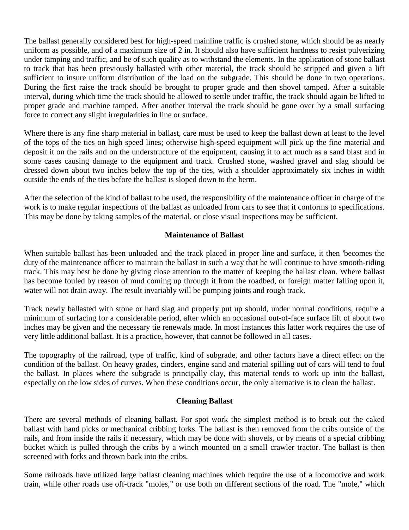The ballast generally considered best for high-speed mainline traffic is crushed stone, which should be as nearly uniform as possible, and of a maximum size of 2 in. It should also have sufficient hardness to resist pulverizing under tamping and traffic, and be of such quality as to withstand the elements. In the application of stone ballast to track that has been previously ballasted with other material, the track should be stripped and given a lift sufficient to insure uniform distribution of the load on the subgrade. This should be done in two operations. During the first raise the track should be brought to proper grade and then shovel tamped. After a suitable interval, during which time the track should be allowed to settle under traffic, the track should again be lifted to proper grade and machine tamped. After another interval the track should be gone over by a small surfacing force to correct any slight irregularities in line or surface.

Where there is any fine sharp material in ballast, care must be used to keep the ballast down at least to the level of the tops of the ties on high speed lines; otherwise high-speed equipment will pick up the fine material and deposit it on the rails and on the understructure of the equipment, causing it to act much as a sand blast and in some cases causing damage to the equipment and track. Crushed stone, washed gravel and slag should be dressed down about two inches below the top of the ties, with a shoulder approximately six inches in width outside the ends of the ties before the ballast is sloped down to the berm.

After the selection of the kind of ballast to be used, the responsibility of the maintenance officer in charge of the work is to make regular inspections of the ballast as unloaded from cars to see that it conforms to specifications. This may be done by taking samples of the material, or close visual inspections may be sufficient.

# **Maintenance of Ballast**

When suitable ballast has been unloaded and the track placed in proper line and surface, it then 'becomes the duty of the maintenance officer to maintain the ballast in such a way that he will continue to have smooth-riding track. This may best be done by giving close attention to the matter of keeping the ballast clean. Where ballast has become fouled by reason of mud coming up through it from the roadbed, or foreign matter falling upon it, water will not drain away. The result invariably will be pumping joints and rough track.

Track newly ballasted with stone or hard slag and properly put up should, under normal conditions, require a minimum of surfacing for a considerable period, after which an occasional out-of-face surface lift of about two inches may be given and the necessary tie renewals made. In most instances this latter work requires the use of very little additional ballast. It is a practice, however, that cannot be followed in all cases.

The topography of the railroad, type of traffic, kind of subgrade, and other factors have a direct effect on the condition of the ballast. On heavy grades, cinders, engine sand and material spilling out of cars will tend to foul the ballast. In places where the subgrade is principally clay, this material tends to work up into the ballast, especially on the low sides of curves. When these conditions occur, the only alternative is to clean the ballast.

# **Cleaning Ballast**

There are several methods of cleaning ballast. For spot work the simplest method is to break out the caked ballast with hand picks or mechanical cribbing forks. The ballast is then removed from the cribs outside of the rails, and from inside the rails if necessary, which may be done with shovels, or by means of a special cribbing bucket which is pulled through the cribs by a winch mounted on a small crawler tractor. The ballast is then screened with forks and thrown back into the cribs.

Some railroads have utilized large ballast cleaning machines which require the use of a locomotive and work train, while other roads use off-track "moles," or use both on different sections of the road. The "mole," which